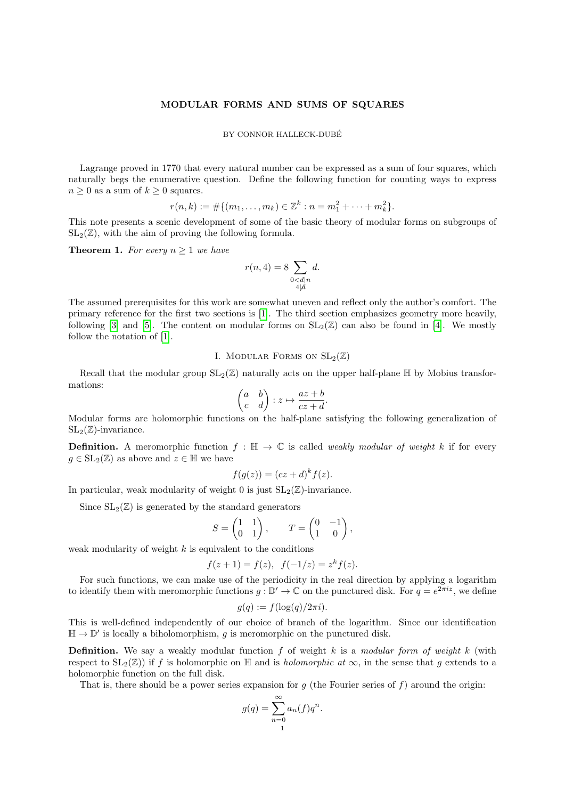### MODULAR FORMS AND SUMS OF SQUARES

### BY CONNOR HALLECK-DUBÉ

Lagrange proved in 1770 that every natural number can be expressed as a sum of four squares, which naturally begs the enumerative question. Define the following function for counting ways to express  $n \geq 0$  as a sum of  $k \geq 0$  squares.

$$
r(n,k) := \#\{(m_1,\ldots,m_k) \in \mathbb{Z}^k : n = m_1^2 + \cdots + m_k^2\}.
$$

This note presents a scenic development of some of the basic theory of modular forms on subgroups of  $SL_2(\mathbb{Z})$ , with the aim of proving the following formula.

**Theorem 1.** For every  $n \geq 1$  we have

$$
r(n,4) = 8 \sum_{\substack{0 < d|n \\ 4 \mid d}} d.
$$

The assumed prerequisites for this work are somewhat uneven and reflect only the author's comfort. The primary reference for the first two sections is [\[1\]](#page-11-0). The third section emphasizes geometry more heavily, following [\[3\]](#page-11-1) and [\[5\]](#page-11-2). The content on modular forms on  $SL_2(\mathbb{Z})$  can also be found in [\[4\]](#page-11-3). We mostly follow the notation of [\[1\]](#page-11-0).

I. MODULAR FORMS ON  $SL_2(\mathbb{Z})$ 

Recall that the modular group  $SL_2(\mathbb{Z})$  naturally acts on the upper half-plane H by Mobius transformations:

$$
\begin{pmatrix} a & b \\ c & d \end{pmatrix} : z \mapsto \frac{az+b}{cz+d}.
$$

Modular forms are holomorphic functions on the half-plane satisfying the following generalization of  $SL_2(\mathbb{Z})$ -invariance.

**Definition.** A meromorphic function  $f : \mathbb{H} \to \mathbb{C}$  is called *weakly modular of weight* k if for every  $q \in SL_2(\mathbb{Z})$  as above and  $z \in \mathbb{H}$  we have

$$
f(g(z)) = (cz+d)^k f(z).
$$

In particular, weak modularity of weight 0 is just  $SL_2(\mathbb{Z})$ -invariance.

Since  $SL_2(\mathbb{Z})$  is generated by the standard generators

$$
S = \begin{pmatrix} 1 & 1 \\ 0 & 1 \end{pmatrix}, \qquad T = \begin{pmatrix} 0 & -1 \\ 1 & 0 \end{pmatrix},
$$

weak modularity of weight  $k$  is equivalent to the conditions

$$
f(z+1) = f(z), \ \ f(-1/z) = z^k f(z).
$$

For such functions, we can make use of the periodicity in the real direction by applying a logarithm to identify them with meromorphic functions  $g : \mathbb{D}' \to \mathbb{C}$  on the punctured disk. For  $q = e^{2\pi i z}$ , we define

$$
g(q) := f(\log(q)/2\pi i).
$$

This is well-defined independently of our choice of branch of the logarithm. Since our identification  $\mathbb{H} \to \mathbb{D}'$  is locally a biholomorphism, g is meromorphic on the punctured disk.

**Definition.** We say a weakly modular function f of weight k is a modular form of weight k (with respect to  $SL_2(\mathbb{Z})$  if f is holomorphic on H and is *holomorphic at*  $\infty$ , in the sense that g extends to a holomorphic function on the full disk.

That is, there should be a power series expansion for  $g$  (the Fourier series of  $f$ ) around the origin:

$$
g(q) = \sum_{n=0}^{\infty} a_n(f)q^n.
$$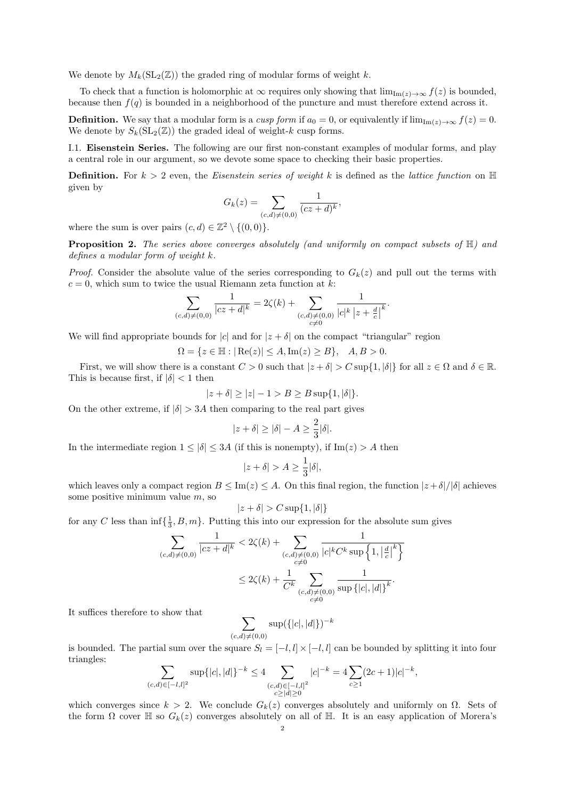We denote by  $M_k(\mathrm{SL}_2(\mathbb{Z}))$  the graded ring of modular forms of weight k.

To check that a function is holomorphic at  $\infty$  requires only showing that  $\lim_{\text{Im}(z)\to\infty} f(z)$  is bounded, because then  $f(q)$  is bounded in a neighborhood of the puncture and must therefore extend across it.

**Definition.** We say that a modular form is a cusp form if  $a_0 = 0$ , or equivalently if  $\lim_{m(z) \to \infty} f(z) = 0$ . We denote by  $S_k(\mathrm{SL}_2(\mathbb{Z}))$  the graded ideal of weight-k cusp forms.

I.1. Eisenstein Series. The following are our first non-constant examples of modular forms, and play a central role in our argument, so we devote some space to checking their basic properties.

**Definition.** For  $k > 2$  even, the Eisenstein series of weight k is defined as the lattice function on  $\mathbb{H}$ given by

$$
G_k(z) = \sum_{(c,d) \neq (0,0)} \frac{1}{(cz+d)^k},
$$

where the sum is over pairs  $(c, d) \in \mathbb{Z}^2 \setminus \{(0, 0)\}.$ 

**Proposition 2.** The series above converges absolutely (and uniformly on compact subsets of  $H$ ) and defines a modular form of weight  $k$ .

*Proof.* Consider the absolute value of the series corresponding to  $G_k(z)$  and pull out the terms with  $c = 0$ , which sum to twice the usual Riemann zeta function at k:

$$
\sum_{(c,d) \neq (0,0)} \frac{1}{|cz+d|^k} = 2\zeta(k) + \sum_{\substack{(c,d) \neq (0,0) \\ c \neq 0}} \frac{1}{|c|^k |z + \frac{d}{c}|^k}.
$$

We will find appropriate bounds for |c| and for  $|z + \delta|$  on the compact "triangular" region

$$
\Omega = \{ z \in \mathbb{H} : |\operatorname{Re}(z)| \le A, \operatorname{Im}(z) \ge B \}, \quad A, B > 0.
$$

First, we will show there is a constant  $C > 0$  such that  $|z + \delta| > C \sup\{1, |\delta|\}$  for all  $z \in \Omega$  and  $\delta \in \mathbb{R}$ . This is because first, if  $|\delta|$  < 1 then

$$
|z+\delta| \ge |z| - 1 > B \ge B \sup\{1, |\delta|\}.
$$

On the other extreme, if  $|\delta| > 3A$  then comparing to the real part gives

$$
|z+\delta| \ge |\delta| - A \ge \frac{2}{3}|\delta|.
$$

In the intermediate region  $1 \leq |\delta| \leq 3A$  (if this is nonempty), if  $\text{Im}(z) > A$  then

$$
|z+\delta| > A \ge \frac{1}{3}|\delta|,
$$

which leaves only a compact region  $B \leq \text{Im}(z) \leq A$ . On this final region, the function  $|z + \delta|/|\delta|$  achieves some positive minimum value  $m$ , so

$$
|z+\delta| > C \sup\{1, |\delta|\}
$$

for any C less than  $\inf\{\frac{1}{3}, B, m\}$ . Putting this into our expression for the absolute sum gives

$$
\sum_{(c,d)\neq(0,0)}\frac{1}{|cz+d|^k} < 2\zeta(k) + \sum_{\substack{(c,d)\neq(0,0)\\c\neq 0}}\frac{1}{|c|^kC^k\sup\left\{1, \left|\frac{d}{c}\right|^k\right\}} \\
&\leq 2\zeta(k) + \frac{1}{C^k}\sum_{\substack{(c,d)\neq(0,0)\\c\neq 0}}\frac{1}{\sup\left\{|c|, |d|\right\}^k}.
$$

It suffices therefore to show that

$$
\sum_{(c,d)\neq(0,0)} \sup(\{|c|,|d|\})^{-k}
$$

is bounded. The partial sum over the square  $S_l = [-l, l] \times [-l, l]$  can be bounded by splitting it into four triangles:

$$
\sum_{(c,d)\in[-l,l]^2} \sup\{|c|,|d|\}^{-k} \le 4 \sum_{\substack{(c,d)\in[-l,l]^2\\c\ge |d|\ge 0}} |c|^{-k} = 4 \sum_{c\ge 1} (2c+1)|c|^{-k},
$$

which converges since  $k > 2$ . We conclude  $G_k(z)$  converges absolutely and uniformly on  $\Omega$ . Sets of the form  $\Omega$  cover  $\mathbb H$  so  $G_k(z)$  converges absolutely on all of  $\mathbb H$ . It is an easy application of Morera's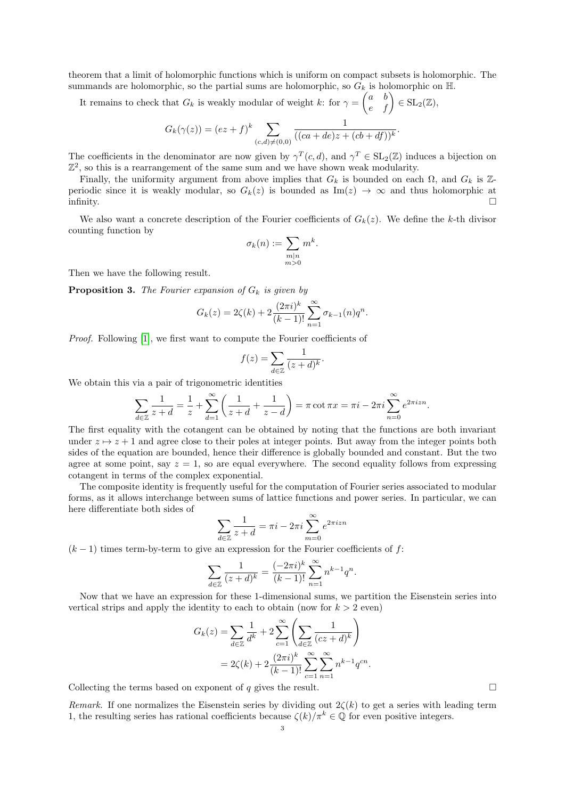theorem that a limit of holomorphic functions which is uniform on compact subsets is holomorphic. The summands are holomorphic, so the partial sums are holomorphic, so  $G_k$  is holomorphic on  $\mathbb H$ .

It remains to check that  $G_k$  is weakly modular of weight k: for  $\gamma = \begin{pmatrix} a & b \\ e & f \end{pmatrix} \in SL_2(\mathbb{Z}),$ 

$$
G_k(\gamma(z)) = (ez + f)^k \sum_{(c,d) \neq (0,0)} \frac{1}{((ca + de)z + (cb + df))^k}.
$$

The coefficients in the denominator are now given by  $\gamma^T(c, d)$ , and  $\gamma^T \in SL_2(\mathbb{Z})$  induces a bijection on  $\mathbb{Z}^2$ , so this is a rearrangement of the same sum and we have shown weak modularity.

Finally, the uniformity argument from above implies that  $G_k$  is bounded on each  $\Omega$ , and  $G_k$  is Zperiodic since it is weakly modular, so  $G_k(z)$  is bounded as  $\text{Im}(z) \to \infty$  and thus holomorphic at infinity.  $\Box$ 

We also want a concrete description of the Fourier coefficients of  $G_k(z)$ . We define the k-th divisor counting function by

$$
\sigma_k(n) := \sum_{\substack{m|n \\ m>0}} m^k.
$$

Then we have the following result.

**Proposition 3.** The Fourier expansion of  $G_k$  is given by

$$
G_k(z) = 2\zeta(k) + 2\frac{(2\pi i)^k}{(k-1)!} \sum_{n=1}^{\infty} \sigma_{k-1}(n)q^n.
$$

Proof. Following [\[1\]](#page-11-0), we first want to compute the Fourier coefficients of

$$
f(z) = \sum_{d \in \mathbb{Z}} \frac{1}{(z+d)^k}.
$$

We obtain this via a pair of trigonometric identities

$$
\sum_{d \in \mathbb{Z}} \frac{1}{z+d} = \frac{1}{z} + \sum_{d=1}^{\infty} \left( \frac{1}{z+d} + \frac{1}{z-d} \right) = \pi \cot \pi x = \pi i - 2\pi i \sum_{n=0}^{\infty} e^{2\pi i z n}.
$$

The first equality with the cotangent can be obtained by noting that the functions are both invariant under  $z \mapsto z + 1$  and agree close to their poles at integer points. But away from the integer points both sides of the equation are bounded, hence their difference is globally bounded and constant. But the two agree at some point, say  $z = 1$ , so are equal everywhere. The second equality follows from expressing cotangent in terms of the complex exponential.

The composite identity is frequently useful for the computation of Fourier series associated to modular forms, as it allows interchange between sums of lattice functions and power series. In particular, we can here differentiate both sides of

$$
\sum_{d \in \mathbb{Z}} \frac{1}{z+d} = \pi i - 2\pi i \sum_{m=0}^{\infty} e^{2\pi i z n}
$$

 $(k-1)$  times term-by-term to give an expression for the Fourier coefficients of f:

$$
\sum_{d \in \mathbb{Z}} \frac{1}{(z+d)^k} = \frac{(-2\pi i)^k}{(k-1)!} \sum_{n=1}^{\infty} n^{k-1} q^n.
$$

Now that we have an expression for these 1-dimensional sums, we partition the Eisenstein series into vertical strips and apply the identity to each to obtain (now for  $k > 2$  even)

$$
G_k(z) = \sum_{d \in \mathbb{Z}} \frac{1}{d^k} + 2 \sum_{c=1}^{\infty} \left( \sum_{d \in \mathbb{Z}} \frac{1}{(cz+d)^k} \right)
$$
  
=  $2\zeta(k) + 2 \frac{(2\pi i)^k}{(k-1)!} \sum_{c=1}^{\infty} \sum_{n=1}^{\infty} n^{k-1} q^{cn}.$ 

Collecting the terms based on exponent of q gives the result.  $\Box$ 

Remark. If one normalizes the Eisenstein series by dividing out  $2\zeta(k)$  to get a series with leading term 1, the resulting series has rational coefficients because  $\zeta(k)/\pi^k \in \mathbb{Q}$  for even positive integers.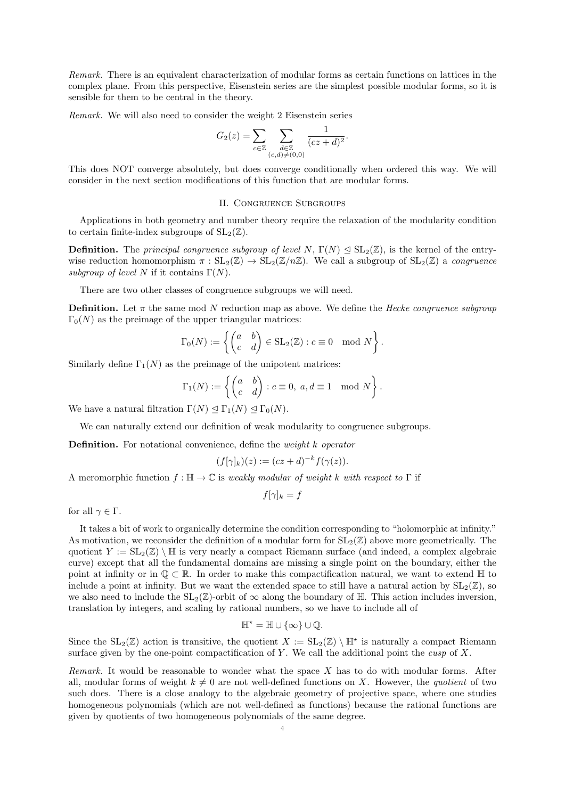Remark. There is an equivalent characterization of modular forms as certain functions on lattices in the complex plane. From this perspective, Eisenstein series are the simplest possible modular forms, so it is sensible for them to be central in the theory.

Remark. We will also need to consider the weight 2 Eisenstein series

$$
G_2(z) = \sum_{c \in \mathbb{Z}} \sum_{\substack{d \in \mathbb{Z} \\ (c,d) \neq (0,0)}} \frac{1}{(cz+d)^2}.
$$

This does NOT converge absolutely, but does converge conditionally when ordered this way. We will consider in the next section modifications of this function that are modular forms.

## II. Congruence Subgroups

Applications in both geometry and number theory require the relaxation of the modularity condition to certain finite-index subgroups of  $SL_2(\mathbb{Z})$ .

**Definition.** The principal congruence subgroup of level N,  $\Gamma(N) \triangleleft SL_2(\mathbb{Z})$ , is the kernel of the entrywise reduction homomorphism  $\pi : SL_2(\mathbb{Z}) \to SL_2(\mathbb{Z}/n\mathbb{Z})$ . We call a subgroup of  $SL_2(\mathbb{Z})$  a *congruence* subgroup of level N if it contains  $\Gamma(N)$ .

There are two other classes of congruence subgroups we will need.

**Definition.** Let  $\pi$  the same mod N reduction map as above. We define the *Hecke congruence subgroup*  $\Gamma_0(N)$  as the preimage of the upper triangular matrices:

$$
\Gamma_0(N) := \left\{ \begin{pmatrix} a & b \\ c & d \end{pmatrix} \in SL_2(\mathbb{Z}) : c \equiv 0 \mod N \right\}.
$$

Similarly define  $\Gamma_1(N)$  as the preimage of the unipotent matrices:

$$
\Gamma_1(N) := \left\{ \begin{pmatrix} a & b \\ c & d \end{pmatrix} : c \equiv 0, \ a, d \equiv 1 \mod N \right\}.
$$

We have a natural filtration  $\Gamma(N) \leq \Gamma_1(N) \leq \Gamma_0(N)$ .

We can naturally extend our definition of weak modularity to congruence subgroups.

Definition. For notational convenience, define the *weight k operator* 

$$
(f[\gamma]_k)(z) := (cz+d)^{-k} f(\gamma(z)).
$$

A meromorphic function  $f : \mathbb{H} \to \mathbb{C}$  is weakly modular of weight k with respect to  $\Gamma$  if

$$
f[\gamma]_k = f
$$

for all  $\gamma \in \Gamma$ .

It takes a bit of work to organically determine the condition corresponding to "holomorphic at infinity." As motivation, we reconsider the definition of a modular form for  $SL_2(\mathbb{Z})$  above more geometrically. The quotient  $Y := SL_2(\mathbb{Z}) \setminus \mathbb{H}$  is very nearly a compact Riemann surface (and indeed, a complex algebraic curve) except that all the fundamental domains are missing a single point on the boundary, either the point at infinity or in  $\mathbb{Q} \subset \mathbb{R}$ . In order to make this compactification natural, we want to extend  $\mathbb{H}$  to include a point at infinity. But we want the extended space to still have a natural action by  $SL_2(\mathbb{Z})$ , so we also need to include the  $SL_2(\mathbb{Z})$ -orbit of  $\infty$  along the boundary of  $\mathbb{H}$ . This action includes inversion, translation by integers, and scaling by rational numbers, so we have to include all of

$$
\mathbb{H}^* = \mathbb{H} \cup \{\infty\} \cup \mathbb{Q}.
$$

Since the  $SL_2(\mathbb{Z})$  action is transitive, the quotient  $X := SL_2(\mathbb{Z}) \setminus \mathbb{H}^*$  is naturally a compact Riemann surface given by the one-point compactification of Y. We call the additional point the *cusp* of X.

Remark. It would be reasonable to wonder what the space  $X$  has to do with modular forms. After all, modular forms of weight  $k \neq 0$  are not well-defined functions on X. However, the quotient of two such does. There is a close analogy to the algebraic geometry of projective space, where one studies homogeneous polynomials (which are not well-defined as functions) because the rational functions are given by quotients of two homogeneous polynomials of the same degree.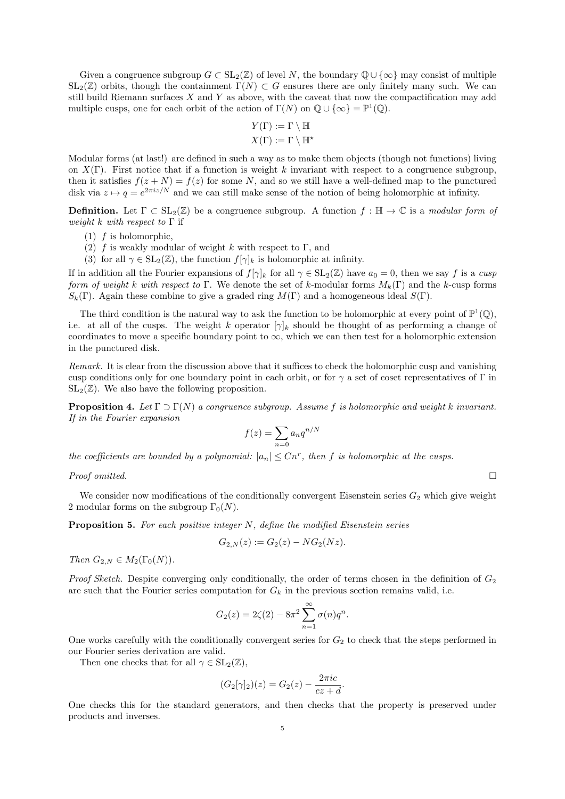Given a congruence subgroup  $G \subset SL_2(\mathbb{Z})$  of level N, the boundary  $\mathbb{Q} \cup {\infty}$  may consist of multiple  $SL_2(\mathbb{Z})$  orbits, though the containment  $\Gamma(N) \subset G$  ensures there are only finitely many such. We can still build Riemann surfaces  $X$  and  $Y$  as above, with the caveat that now the compactification may add multiple cusps, one for each orbit of the action of  $\Gamma(N)$  on  $\mathbb{Q} \cup {\infty} = \mathbb{P}^1(\mathbb{Q})$ .

$$
Y(\Gamma) := \Gamma \setminus \mathbb{H}
$$

$$
X(\Gamma) := \Gamma \setminus \mathbb{H}^{\star}
$$

Modular forms (at last!) are defined in such a way as to make them objects (though not functions) living on  $X(\Gamma)$ . First notice that if a function is weight k invariant with respect to a congruence subgroup, then it satisfies  $f(z + N) = f(z)$  for some N, and so we still have a well-defined map to the punctured disk via  $z \mapsto q = e^{2\pi i z/N}$  and we can still make sense of the notion of being holomorphic at infinity.

**Definition.** Let  $\Gamma \subset SL_2(\mathbb{Z})$  be a congruence subgroup. A function  $f : \mathbb{H} \to \mathbb{C}$  is a modular form of weight k with respect to  $\Gamma$  if

- $(1)$  f is holomorphic,
- (2) f is weakly modular of weight k with respect to  $\Gamma$ , and
- (3) for all  $\gamma \in SL_2(\mathbb{Z})$ , the function  $f[\gamma]_k$  is holomorphic at infinity.

If in addition all the Fourier expansions of  $f[\gamma]_k$  for all  $\gamma \in SL_2(\mathbb{Z})$  have  $a_0 = 0$ , then we say f is a cusp form of weight k with respect to Γ. We denote the set of k-modular forms  $M_k(\Gamma)$  and the k-cusp forms  $S_k(\Gamma)$ . Again these combine to give a graded ring  $M(\Gamma)$  and a homogeneous ideal  $S(\Gamma)$ .

The third condition is the natural way to ask the function to be holomorphic at every point of  $\mathbb{P}^1(\mathbb{Q})$ , i.e. at all of the cusps. The weight k operator  $[\gamma]_k$  should be thought of as performing a change of coordinates to move a specific boundary point to  $\infty$ , which we can then test for a holomorphic extension in the punctured disk.

Remark. It is clear from the discussion above that it suffices to check the holomorphic cusp and vanishing cusp conditions only for one boundary point in each orbit, or for  $\gamma$  a set of coset representatives of Γ in  $SL_2(\mathbb{Z})$ . We also have the following proposition.

<span id="page-4-0"></span>**Proposition 4.** Let  $\Gamma \supset \Gamma(N)$  a congruence subgroup. Assume f is holomorphic and weight k invariant. If in the Fourier expansion

$$
f(z) = \sum_{n=0} a_n q^{n/N}
$$

the coefficients are bounded by a polynomial:  $|a_n| \leq Cn^r$ , then f is holomorphic at the cusps.

Proof omitted.  $\Box$ 

We consider now modifications of the conditionally convergent Eisenstein series  $G_2$  which give weight 2 modular forms on the subgroup  $\Gamma_0(N)$ .

**Proposition 5.** For each positive integer  $N$ , define the modified Eisenstein series

$$
G_{2,N}(z) := G_2(z) - NG_2(Nz).
$$

Then  $G_{2,N} \in M_2(\Gamma_0(N))$ .

*Proof Sketch.* Despite converging only conditionally, the order of terms chosen in the definition of  $G_2$ are such that the Fourier series computation for  $G_k$  in the previous section remains valid, i.e.

$$
G_2(z) = 2\zeta(2) - 8\pi^2 \sum_{n=1}^{\infty} \sigma(n)q^n.
$$

One works carefully with the conditionally convergent series for  $G_2$  to check that the steps performed in our Fourier series derivation are valid.

Then one checks that for all  $\gamma \in SL_2(\mathbb{Z}),$ 

$$
(G_2[\gamma]_2)(z) = G_2(z) - \frac{2\pi i c}{cz + d}.
$$

One checks this for the standard generators, and then checks that the property is preserved under products and inverses.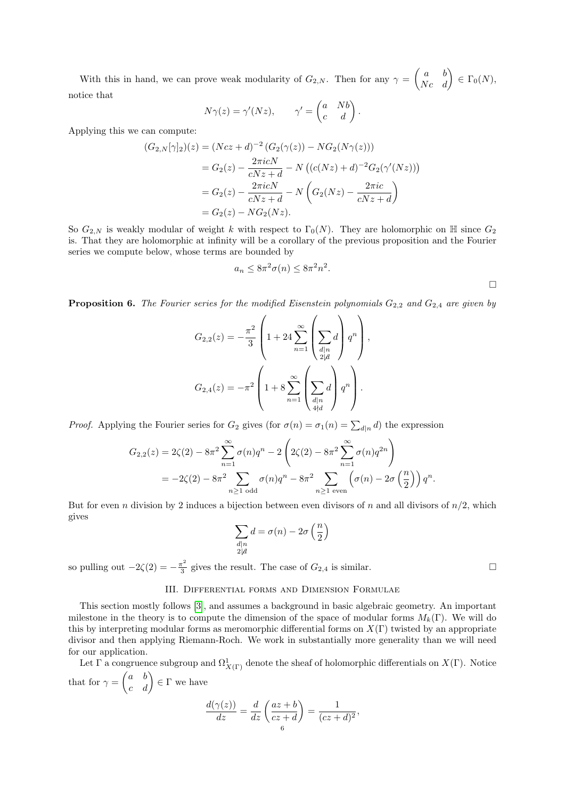With this in hand, we can prove weak modularity of  $G_{2,N}$ . Then for any  $\gamma = \begin{pmatrix} a & b \\ Nc & d \end{pmatrix} \in \Gamma_0(N)$ , notice that

$$
N\gamma(z) = \gamma'(Nz), \qquad \gamma' = \begin{pmatrix} a & Nb \\ c & d \end{pmatrix}.
$$

Applying this we can compute:

$$
(G_{2,N}[\gamma]_2)(z) = (Ncz + d)^{-2} (G_2(\gamma(z)) - NG_2(N\gamma(z)))
$$
  
=  $G_2(z) - \frac{2\pi i cN}{cNz + d} - N ((c(Nz) + d)^{-2} G_2(\gamma'(Nz)))$   
=  $G_2(z) - \frac{2\pi i cN}{cNz + d} - N (G_2(Nz) - \frac{2\pi i c}{cNz + d})$   
=  $G_2(z) - NG_2(Nz).$ 

So  $G_{2,N}$  is weakly modular of weight k with respect to  $\Gamma_0(N)$ . They are holomorphic on H since  $G_2$ is. That they are holomorphic at infinity will be a corollary of the previous proposition and the Fourier series we compute below, whose terms are bounded by

$$
a_n \le 8\pi^2 \sigma(n) \le 8\pi^2 n^2.
$$

**Proposition 6.** The Fourier series for the modified Eisenstein polynomials  $G_{2,2}$  and  $G_{2,4}$  are given by

$$
G_{2,2}(z) = -\frac{\pi^2}{3} \left( 1 + 24 \sum_{n=1}^{\infty} \left( \sum_{\substack{d|n \\ 2 \nmid d}} d \right) q^n \right),
$$
  

$$
G_{2,4}(z) = -\pi^2 \left( 1 + 8 \sum_{n=1}^{\infty} \left( \sum_{\substack{d|n \\ 4 \nmid d}} d \right) q^n \right).
$$

*Proof.* Applying the Fourier series for  $G_2$  gives (for  $\sigma(n) = \sigma_1(n) = \sum_{d|n} d$ ) the expression

$$
G_{2,2}(z) = 2\zeta(2) - 8\pi^2 \sum_{n=1}^{\infty} \sigma(n)q^n - 2\left(2\zeta(2) - 8\pi^2 \sum_{n=1}^{\infty} \sigma(n)q^{2n}\right)
$$
  
=  $-2\zeta(2) - 8\pi^2 \sum_{n\geq 1 \text{ odd}} \sigma(n)q^n - 8\pi^2 \sum_{n\geq 1 \text{ even}} \left(\sigma(n) - 2\sigma\left(\frac{n}{2}\right)\right)q^n.$ 

But for even n division by 2 induces a bijection between even divisors of n and all divisors of  $n/2$ , which gives

$$
\sum_{\substack{d|n\\2\nmid d}}d=\sigma(n)-2\sigma\left(\frac{n}{2}\right)
$$

so pulling out  $-2\zeta(2) = -\frac{\pi^2}{3}$  $\frac{\pi^2}{3}$  gives the result. The case of  $G_{2,4}$  is similar.

# III. Differential forms and Dimension Formulae

This section mostly follows [\[3\]](#page-11-1), and assumes a background in basic algebraic geometry. An important milestone in the theory is to compute the dimension of the space of modular forms  $M_k(\Gamma)$ . We will do this by interpreting modular forms as meromorphic differential forms on  $X(\Gamma)$  twisted by an appropriate divisor and then applying Riemann-Roch. We work in substantially more generality than we will need for our application.

Let  $\Gamma$  a congruence subgroup and  $\Omega^1_{X(\Gamma)}$  denote the sheaf of holomorphic differentials on  $X(\Gamma)$ . Notice that for  $\gamma = \begin{pmatrix} a & b \\ c & d \end{pmatrix} \in \Gamma$  we have

$$
\frac{d(\gamma(z))}{dz} = \frac{d}{dz} \left( \frac{az+b}{cz+d} \right) = \frac{1}{(cz+d)^2},
$$

 $\Box$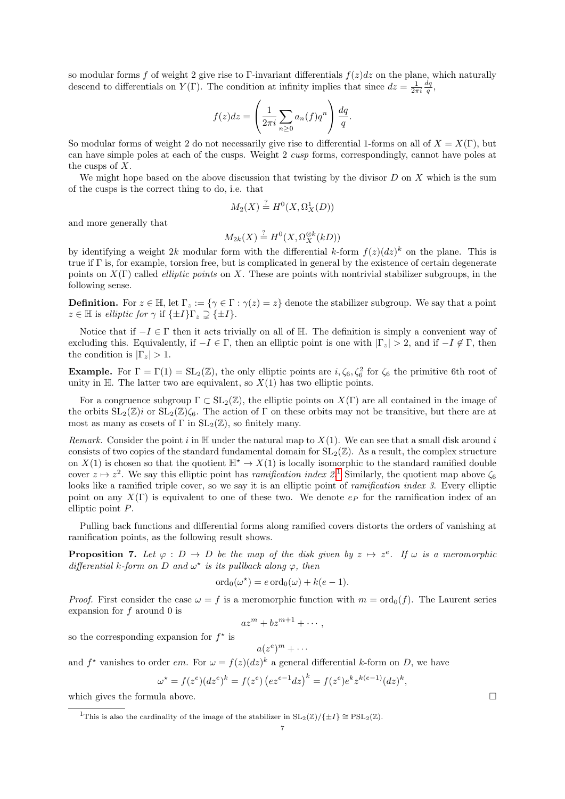so modular forms f of weight 2 give rise to Γ-invariant differentials  $f(z)dz$  on the plane, which naturally descend to differentials on  $Y(\Gamma)$ . The condition at infinity implies that since  $dz = \frac{1}{2\pi i} \frac{dq}{q}$ ,

$$
f(z)dz = \left(\frac{1}{2\pi i}\sum_{n\geq 0} a_n(f)q^n\right)\frac{dq}{q}.
$$

So modular forms of weight 2 do not necessarily give rise to differential 1-forms on all of  $X = X(\Gamma)$ , but can have simple poles at each of the cusps. Weight 2 cusp forms, correspondingly, cannot have poles at the cusps of X.

We might hope based on the above discussion that twisting by the divisor  $D$  on  $X$  which is the sum of the cusps is the correct thing to do, i.e. that

$$
M_2(X) \stackrel{?}{=} H^0(X, \Omega^1_X(D))
$$

and more generally that

$$
M_{2k}(X) \stackrel{?}{=} H^0(X, \Omega_X^{\otimes k}(kD))
$$

by identifying a weight 2k modular form with the differential k-form  $f(z)(dz)^k$  on the plane. This is true if  $\Gamma$  is, for example, torsion free, but is complicated in general by the existence of certain degenerate points on  $X(\Gamma)$  called *elliptic points* on X. These are points with nontrivial stabilizer subgroups, in the following sense.

**Definition.** For  $z \in \mathbb{H}$ , let  $\Gamma_z := \{ \gamma \in \Gamma : \gamma(z) = z \}$  denote the stabilizer subgroup. We say that a point  $z \in \mathbb{H}$  is elliptic for  $\gamma$  if  $\{\pm I\}$  $\Gamma_z \supsetneq \{\pm I\}$ .

Notice that if  $-I \in \Gamma$  then it acts trivially on all of H. The definition is simply a convenient way of excluding this. Equivalently, if  $-I \in \Gamma$ , then an elliptic point is one with  $|\Gamma_z| > 2$ , and if  $-I \notin \Gamma$ , then the condition is  $|\Gamma_z| > 1$ .

**Example.** For  $\Gamma = \Gamma(1) = SL_2(\mathbb{Z})$ , the only elliptic points are  $i, \zeta_6, \zeta_6^2$  for  $\zeta_6$  the primitive 6th root of unity in  $H$ . The latter two are equivalent, so  $X(1)$  has two elliptic points.

For a congruence subgroup  $\Gamma \subset SL_2(\mathbb{Z})$ , the elliptic points on  $X(\Gamma)$  are all contained in the image of the orbits  $SL_2(\mathbb{Z})$  or  $SL_2(\mathbb{Z})\zeta_6$ . The action of  $\Gamma$  on these orbits may not be transitive, but there are at most as many as cosets of  $\Gamma$  in  $SL_2(\mathbb{Z})$ , so finitely many.

Remark. Consider the point i in  $\mathbb H$  under the natural map to  $X(1)$ . We can see that a small disk around i consists of two copies of the standard fundamental domain for  $SL_2(\mathbb{Z})$ . As a result, the complex structure on  $X(1)$  is chosen so that the quotient  $\mathbb{H}^* \to X(1)$  is locally isomorphic to the standard ramified double cover  $z \mapsto z^2$ . We say this elliptic point has *ramification index* 2.<sup>[1](#page-6-0)</sup> Similarly, the quotient map above  $\zeta_6$ looks like a ramified triple cover, so we say it is an elliptic point of *ramification index 3*. Every elliptic point on any  $X(\Gamma)$  is equivalent to one of these two. We denote  $e_P$  for the ramification index of an elliptic point P.

Pulling back functions and differential forms along ramified covers distorts the orders of vanishing at ramification points, as the following result shows.

**Proposition 7.** Let  $\varphi : D \to D$  be the map of the disk given by  $z \mapsto z^e$ . If  $\omega$  is a meromorphic differential k-form on D and  $\omega^*$  is its pullback along  $\varphi$ , then

$$
\mathrm{ord}_0(\omega^\star) = e \,\mathrm{ord}_0(\omega) + k(e-1).
$$

*Proof.* First consider the case  $\omega = f$  is a meromorphic function with  $m = \text{ord}_0(f)$ . The Laurent series expansion for  $f$  around 0 is

$$
az^m + bz^{m+1} + \cdots,
$$

so the corresponding expansion for  $f^*$  is

 $a(z^e)^m + \cdots$ 

and  $f^*$  vanishes to order em. For  $\omega = f(z)(dz)^k$  a general differential k-form on D, we have

$$
\omega^* = f(z^e)(dz^e)^k = f(z^e) (ez^{e-1}dz)^k = f(z^e)e^k z^{k(e-1)} (dz)^k,
$$

which gives the formula above.  $\Box$ 

<span id="page-6-0"></span><sup>&</sup>lt;sup>1</sup>This is also the cardinality of the image of the stabilizer in  $SL_2(\mathbb{Z})/\{\pm I\} \cong PSL_2(\mathbb{Z})$ .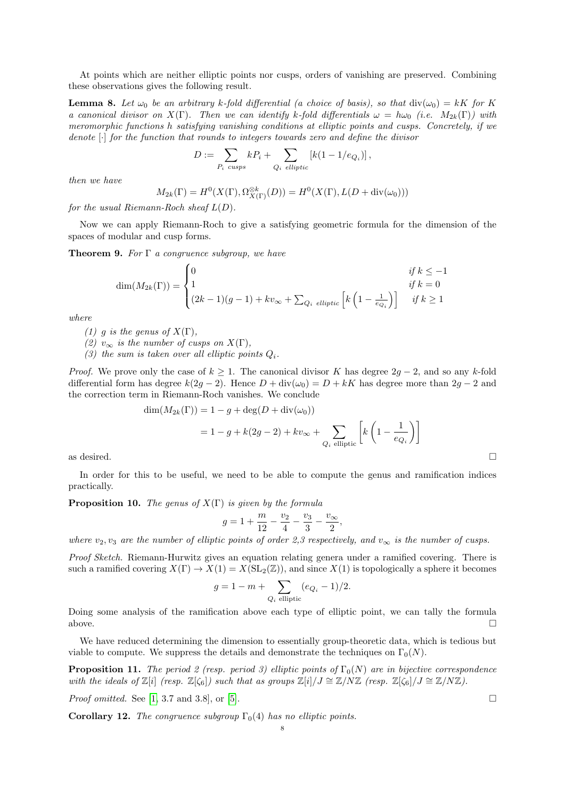At points which are neither elliptic points nor cusps, orders of vanishing are preserved. Combining these observations gives the following result.

**Lemma 8.** Let  $\omega_0$  be an arbitrary k-fold differential (a choice of basis), so that  $\text{div}(\omega_0) = kK$  for K a canonical divisor on  $X(\Gamma)$ . Then we can identify k-fold differentials  $\omega = h\omega_0$  (i.e.  $M_{2k}(\Gamma)$ ) with meromorphic functions h satisfying vanishing conditions at elliptic points and cusps. Concretely, if we denote [·] for the function that rounds to integers towards zero and define the divisor

$$
D := \sum_{P_i \text{ cusps}} k P_i + \sum_{Q_i \text{ elliptic}} [k(1 - 1/e_{Q_i})],
$$

then we have

$$
M_{2k}(\Gamma) = H^0(X(\Gamma), \Omega_{X(\Gamma)}^{\otimes k}(D)) = H^0(X(\Gamma), L(D + \text{div}(\omega_0)))
$$

for the usual Riemann-Roch sheaf  $L(D)$ .

Now we can apply Riemann-Roch to give a satisfying geometric formula for the dimension of the spaces of modular and cusp forms.

**Theorem 9.** For  $\Gamma$  a congruence subgroup, we have

$$
\dim(M_{2k}(\Gamma)) = \begin{cases} 0 & \text{if } k \le -1 \\ 1 & \text{if } k = 0 \\ (2k-1)(g-1) + kv_{\infty} + \sum_{Q_i \text{ elliptic}} \left[ k\left(1 - \frac{1}{e_{Q_i}}\right) \right] & \text{if } k \ge 1 \end{cases}
$$

where

- (1) g is the genus of  $X(\Gamma)$ ,
- (2)  $v_{\infty}$  is the number of cusps on  $X(\Gamma)$ ,
- (3) the sum is taken over all elliptic points  $Q_i$ .

*Proof.* We prove only the case of  $k \geq 1$ . The canonical divisor K has degree  $2q - 2$ , and so any k-fold differential form has degree  $k(2g - 2)$ . Hence  $D + \text{div}(\omega_0) = D + kK$  has degree more than  $2g - 2$  and the correction term in Riemann-Roch vanishes. We conclude

$$
\dim(M_{2k}(\Gamma)) = 1 - g + \deg(D + \text{div}(\omega_0))
$$
  
= 1 - g + k(2g - 2) + kv<sub>∞</sub> +  $\sum_{Q_i \text{ elliptic}} \left[ k \left( 1 - \frac{1}{e_{Q_i}} \right) \right]$   
as desired.

In order for this to be useful, we need to be able to compute the genus and ramification indices practically.

**Proposition 10.** The genus of  $X(\Gamma)$  is given by the formula

$$
g = 1 + \frac{m}{12} - \frac{v_2}{4} - \frac{v_3}{3} - \frac{v_{\infty}}{2},
$$

where  $v_2, v_3$  are the number of elliptic points of order 2,3 respectively, and  $v_{\infty}$  is the number of cusps.

Proof Sketch. Riemann-Hurwitz gives an equation relating genera under a ramified covering. There is such a ramified covering  $X(\Gamma) \to X(1) = X(\mathrm{SL}_2(\mathbb{Z}))$ , and since  $X(1)$  is topologically a sphere it becomes

$$
g = 1 - m + \sum_{Q_i \text{ elliptic}} (e_{Q_i} - 1)/2.
$$

Doing some analysis of the ramification above each type of elliptic point, we can tally the formula above.  $\Box$ 

We have reduced determining the dimension to essentially group-theoretic data, which is tedious but viable to compute. We suppress the details and demonstrate the techniques on  $\Gamma_0(N)$ .

**Proposition 11.** The period 2 (resp. period 3) elliptic points of  $\Gamma_0(N)$  are in bijective correspondence with the ideals of  $\mathbb{Z}[i]$  (resp.  $\mathbb{Z}[\zeta_6]$ ) such that as groups  $\mathbb{Z}[i]/J \cong \mathbb{Z}/N\mathbb{Z}$  (resp.  $\mathbb{Z}[\zeta_6]/J \cong \mathbb{Z}/N\mathbb{Z}$ ).

*Proof omitted.* See [\[1,](#page-11-0) 3.7 and 3.8], or [\[5\]](#page-11-2).

**Corollary 12.** The congruence subgroup  $\Gamma_0(4)$  has no elliptic points.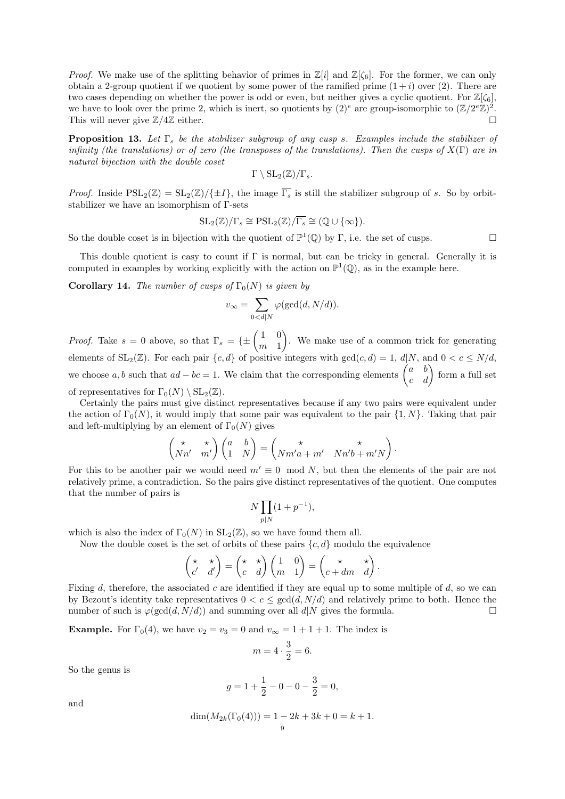*Proof.* We make use of the splitting behavior of primes in  $\mathbb{Z}[i]$  and  $\mathbb{Z}[\zeta_6]$ . For the former, we can only obtain a 2-group quotient if we quotient by some power of the ramified prime  $(1+i)$  over (2). There are two cases depending on whether the power is odd or even, but neither gives a cyclic quotient. For  $\mathbb{Z}[\zeta_6]$ , we have to look over the prime 2, which is inert, so quotients by  $(2)^e$  are group-isomorphic to  $(\mathbb{Z}/2^e\mathbb{Z})^2$ . This will never give  $\mathbb{Z}/4\mathbb{Z}$  either.

**Proposition 13.** Let  $\Gamma_s$  be the stabilizer subgroup of any cusp s. Examples include the stabilizer of infinity (the translations) or of zero (the transposes of the translations). Then the cusps of  $X(\Gamma)$  are in natural bijection with the double coset

$$
\Gamma \setminus {\rm SL}_2(\mathbb{Z})/\Gamma_s.
$$

*Proof.* Inside  $PSL_2(\mathbb{Z}) = SL_2(\mathbb{Z})/\{\pm I\}$ , the image  $\overline{\Gamma_s}$  is still the stabilizer subgroup of s. So by orbitstabilizer we have an isomorphism of Γ-sets

$$
SL_2(\mathbb{Z})/\Gamma_s \cong \mathrm{PSL}_2(\mathbb{Z})/\overline{\Gamma_s} \cong (\mathbb{Q} \cup {\infty}).
$$

So the double coset is in bijection with the quotient of  $\mathbb{P}^1(\mathbb{Q})$  by Γ, i.e. the set of cusps.

This double quotient is easy to count if  $\Gamma$  is normal, but can be tricky in general. Generally it is computed in examples by working explicitly with the action on  $\mathbb{P}^1(\mathbb{Q})$ , as in the example here.

**Corollary 14.** The number of cusps of  $\Gamma_0(N)$  is given by

$$
v_{\infty} = \sum_{0 < d \mid N} \varphi(\gcd(d, N/d)).
$$

*Proof.* Take  $s = 0$  above, so that  $\Gamma_s = \{\pm \begin{pmatrix} 1 & 0 \\ m & 1 \end{pmatrix}$  $m<sub>1</sub>$  . We make use of a common trick for generating elements of  $SL_2(\mathbb{Z})$ . For each pair  $\{c, d\}$  of positive integers with  $gcd(c, d) = 1, d|N$ , and  $0 < c \le N/d$ , we choose a, b such that  $ad - bc = 1$ . We claim that the corresponding elements  $\begin{pmatrix} a & b \\ c & d \end{pmatrix}$  form a full set of representatives for  $\Gamma_0(N) \setminus SL_2(\mathbb{Z})$ .

Certainly the pairs must give distinct representatives because if any two pairs were equivalent under the action of  $\Gamma_0(N)$ , it would imply that some pair was equivalent to the pair  $\{1, N\}$ . Taking that pair and left-multiplying by an element of  $\Gamma_0(N)$  gives

$$
\begin{pmatrix} \star & \star \\ Nn' & m' \end{pmatrix} \begin{pmatrix} a & b \\ 1 & N \end{pmatrix} = \begin{pmatrix} \star & \star \\ Nm'a + m' & Nn'b + m'N \end{pmatrix}.
$$

For this to be another pair we would need  $m' \equiv 0 \mod N$ , but then the elements of the pair are not relatively prime, a contradiction. So the pairs give distinct representatives of the quotient. One computes that the number of pairs is

$$
N \prod_{p|N} (1 + p^{-1}),
$$

which is also the index of  $\Gamma_0(N)$  in  $SL_2(\mathbb{Z})$ , so we have found them all.

Now the double coset is the set of orbits of these pairs  $\{c, d\}$  modulo the equivalence

$$
\begin{pmatrix} \star & \star \\ c' & d' \end{pmatrix} = \begin{pmatrix} \star & \star \\ c & d \end{pmatrix} \begin{pmatrix} 1 & 0 \\ m & 1 \end{pmatrix} = \begin{pmatrix} \star & \star \\ c + dm & d \end{pmatrix}.
$$

Fixing d, therefore, the associated c are identified if they are equal up to some multiple of d, so we can by Bezout's identity take representatives  $0 < c \le \gcd(d, N/d)$  and relatively prime to both. Hence the number of such is  $\varphi(\gcd(d, N/d))$  and summing over all  $d|N$  gives the formula.

**Example.** For  $\Gamma_0(4)$ , we have  $v_2 = v_3 = 0$  and  $v_\infty = 1 + 1 + 1$ . The index is

$$
m = 4 \cdot \frac{3}{2} = 6.
$$

So the genus is

$$
g = 1 + \frac{1}{2} - 0 - 0 - \frac{3}{2} = 0,
$$

and

$$
\dim(M_{2k}(\Gamma_0(4))) = 1 - 2k + 3k + 0 = k + 1.
$$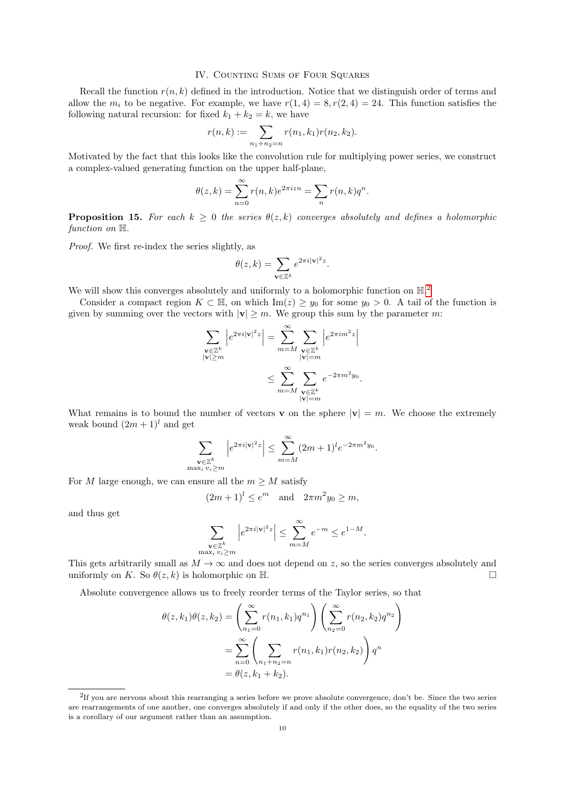## IV. COUNTING SUMS OF FOUR SQUARES

Recall the function  $r(n, k)$  defined in the introduction. Notice that we distinguish order of terms and allow the  $m_i$  to be negative. For example, we have  $r(1, 4) = 8, r(2, 4) = 24$ . This function satisfies the following natural recursion: for fixed  $k_1 + k_2 = k$ , we have

$$
r(n,k) := \sum_{n_1+n_2=n} r(n_1,k_1)r(n_2,k_2).
$$

Motivated by the fact that this looks like the convolution rule for multiplying power series, we construct a complex-valued generating function on the upper half-plane,

$$
\theta(z,k) = \sum_{n=0}^{\infty} r(n,k)e^{2\pi i z n} = \sum_{n} r(n,k)q^{n}.
$$

**Proposition 15.** For each  $k \geq 0$  the series  $\theta(z, k)$  converges absolutely and defines a holomorphic function on  $\mathbb{H}$ .

Proof. We first re-index the series slightly, as

$$
\theta(z,k) = \sum_{\mathbf{v} \in \mathbb{Z}^k} e^{2\pi i |\mathbf{v}|^2 z}.
$$

We will show this converges absolutely and uniformly to a holomorphic function on  $\mathbb{H}^2$  $\mathbb{H}^2$ .

Consider a compact region  $K \subset \mathbb{H}$ , on which  $\text{Im}(z) \geq y_0$  for some  $y_0 > 0$ . A tail of the function is given by summing over the vectors with  $|v| \geq m$ . We group this sum by the parameter m:

$$
\sum_{\substack{\mathbf{v}\in\mathbb{Z}^k\\|\mathbf{v}|\geq m}}\left|e^{2\pi i|\mathbf{v}|^2z}\right| = \sum_{m=M}^{\infty}\sum_{\substack{\mathbf{v}\in\mathbb{Z}^k\\|\mathbf{v}|=m\\|\mathbf{v}|=m}}\left|e^{2\pi i m^2z}\right|
$$

$$
\leq \sum_{m=M}^{\infty}\sum_{\substack{\mathbf{v}\in\mathbb{Z}^k\\|\mathbf{v}|=m}}e^{-2\pi m^2y_0}.
$$

What remains is to bound the number of vectors **v** on the sphere  $|\mathbf{v}| = m$ . We choose the extremely weak bound  $(2m + 1)^l$  and get

$$
\sum_{\substack{\mathbf{v}\in\mathbb{Z}^k\\ \max_i v_i > m}} \left| e^{2\pi i |\mathbf{v}|^2 z} \right| \le \sum_{m=M}^{\infty} (2m+1)^l e^{-2\pi m^2 y_0}.
$$

For M large enough, we can ensure all the  $m \geq M$  satisfy

 $(2m+1)^{l} \leq e^{m}$  and  $2\pi m^{2} y_{0} \geq m$ ,

and thus get

$$
\sum_{\substack{\mathbf{v}\in\mathbb{Z}^k\\ \max_i v_i > m}} \left|e^{2\pi i |\mathbf{v}|^2 z}\right| \le \sum_{m=M}^\infty e^{-m} \le e^{1-M}.
$$

This gets arbitrarily small as  $M \to \infty$  and does not depend on z, so the series converges absolutely and uniformly on K. So  $\theta(z, k)$  is holomorphic on H.

Absolute convergence allows us to freely reorder terms of the Taylor series, so that

$$
\theta(z, k_1)\theta(z, k_2) = \left(\sum_{n_1=0}^{\infty} r(n_1, k_1)q^{n_1}\right)\left(\sum_{n_2=0}^{\infty} r(n_2, k_2)q^{n_2}\right)
$$

$$
= \sum_{n=0}^{\infty} \left(\sum_{n_1+n_2=n} r(n_1, k_1)r(n_2, k_2)\right)q^n
$$

$$
= \theta(z, k_1 + k_2).
$$

<span id="page-9-0"></span><sup>&</sup>lt;sup>2</sup>If you are nervous about this rearranging a series before we prove absolute convergence, don't be. Since the two series are rearrangements of one another, one converges absolutely if and only if the other does, so the equality of the two series is a corollary of our argument rather than an assumption.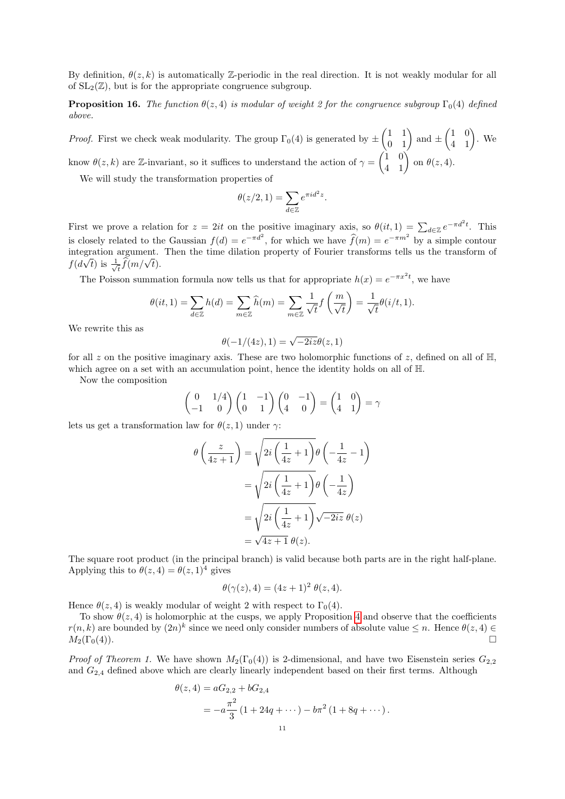By definition,  $\theta(z, k)$  is automatically Z-periodic in the real direction. It is not weakly modular for all of  $SL_2(\mathbb{Z})$ , but is for the appropriate congruence subgroup.

**Proposition 16.** The function  $\theta(z, 4)$  is modular of weight 2 for the congruence subgroup  $\Gamma_0(4)$  defined above.

*Proof.* First we check weak modularity. The group  $\Gamma_0(4)$  is generated by  $\pm \begin{pmatrix} 1 & 1 \\ 0 & 1 \end{pmatrix}$  and  $\pm \begin{pmatrix} 1 & 0 \\ 4 & 1 \end{pmatrix}$ . We know  $\theta(z,k)$  are Z-invariant, so it suffices to understand the action of  $\gamma = \begin{pmatrix} 1 & 0 \\ 4 & 1 \end{pmatrix}$  on  $\theta(z,4)$ .

We will study the transformation properties of

$$
\theta(z/2, 1) = \sum_{d \in \mathbb{Z}} e^{\pi i d^2 z}.
$$

First we prove a relation for  $z = 2it$  on the positive imaginary axis, so  $\theta(it, 1) = \sum_{d \in \mathbb{Z}} e^{-\pi d^2 t}$ . This is closely related to the Gaussian  $f(d) = e^{-\pi d^2}$ , for which we have  $\hat{f}(m) = e^{-\pi m^2}$  by a simple contour integration argument. Then the time dilation property of Fourier transforms tells us the transform of  $f(d\sqrt{t})$  is  $\frac{1}{\sqrt{t}}$  $\frac{1}{\hbar} \widehat{f}(m/\sqrt{t}).$ 

The Poisson summation formula now tells us that for appropriate  $h(x) = e^{-\pi x^2 t}$ , we have

$$
\theta(it,1) = \sum_{d \in \mathbb{Z}} h(d) = \sum_{m \in \mathbb{Z}} \widehat{h}(m) = \sum_{m \in \mathbb{Z}} \frac{1}{\sqrt{t}} f\left(\frac{m}{\sqrt{t}}\right) = \frac{1}{\sqrt{t}} \theta(it,1).
$$

We rewrite this as

$$
\theta(-1/(4z),1)=\sqrt{-2iz}\theta(z,1)
$$

for all z on the positive imaginary axis. These are two holomorphic functions of z, defined on all of  $\mathbb{H}$ , which agree on a set with an accumulation point, hence the identity holds on all of H.

Now the composition

$$
\begin{pmatrix} 0 & 1/4 \\ -1 & 0 \end{pmatrix} \begin{pmatrix} 1 & -1 \\ 0 & 1 \end{pmatrix} \begin{pmatrix} 0 & -1 \\ 4 & 0 \end{pmatrix} = \begin{pmatrix} 1 & 0 \\ 4 & 1 \end{pmatrix} = \gamma
$$

lets us get a transformation law for  $\theta(z,1)$  under  $\gamma$ :

$$
\theta\left(\frac{z}{4z+1}\right) = \sqrt{2i\left(\frac{1}{4z}+1\right)}\theta\left(-\frac{1}{4z}-1\right)
$$

$$
= \sqrt{2i\left(\frac{1}{4z}+1\right)}\theta\left(-\frac{1}{4z}\right)
$$

$$
= \sqrt{2i\left(\frac{1}{4z}+1\right)}\sqrt{-2iz}\,\theta(z)
$$

$$
= \sqrt{4z+1}\,\theta(z).
$$

The square root product (in the principal branch) is valid because both parts are in the right half-plane. Applying this to  $\theta(z, 4) = \theta(z, 1)^4$  gives

$$
\theta(\gamma(z), 4) = (4z + 1)^2 \theta(z, 4).
$$

Hence  $\theta(z, 4)$  is weakly modular of weight 2 with respect to  $\Gamma_0(4)$ .

To show  $\theta(z, 4)$  $\theta(z, 4)$  $\theta(z, 4)$  is holomorphic at the cusps, we apply Proposition 4 and observe that the coefficients  $r(n, k)$  are bounded by  $(2n)^k$  since we need only consider numbers of absolute value  $\leq n$ . Hence  $\theta(z, 4) \in$  $M_2(\Gamma_0(4))$ .

*Proof of Theorem 1.* We have shown  $M_2(\Gamma_0(4))$  is 2-dimensional, and have two Eisenstein series  $G_{2,2}$ and  $G_{2,4}$  defined above which are clearly linearly independent based on their first terms. Although

$$
\theta(z,4) = aG_{2,2} + bG_{2,4}
$$
  
=  $-a\frac{\pi^2}{3}(1+24q+\cdots) - b\pi^2(1+8q+\cdots).$